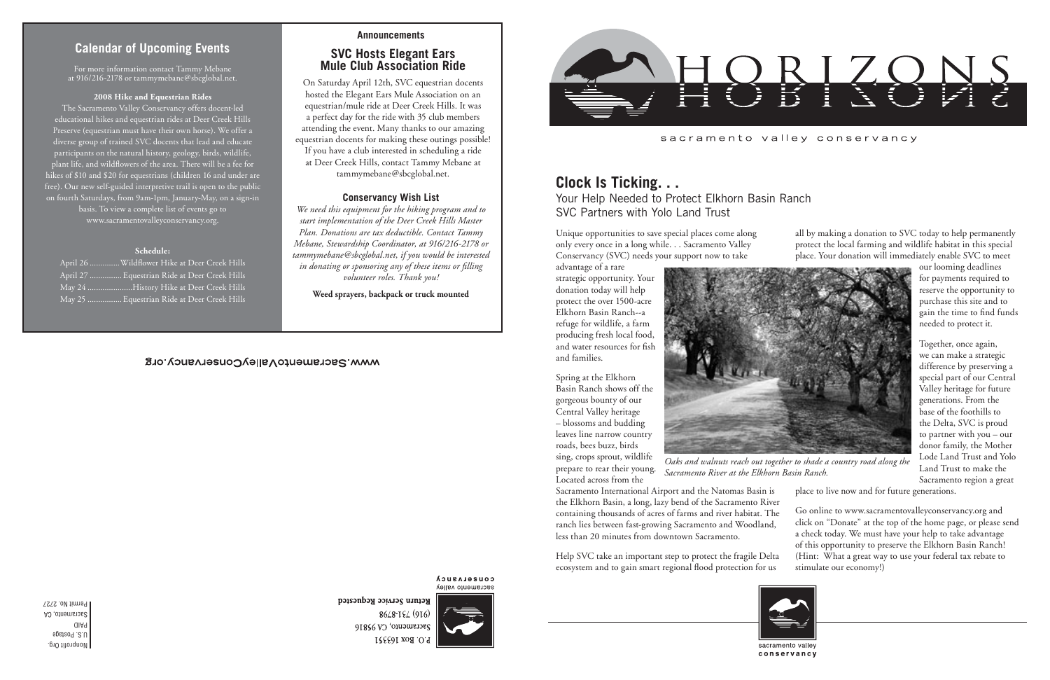Nonprofit Org. U.S. Postage PAID

Sacramento, CA Permit No. 2727

## sacramento valley conservancy

# **Calendar of Upcoming Events**

## **Announcements**

## **Conservancy Wish List**

*We need this equipment for the hiking program and to start implementation of the Deer Creek Hills Master Plan. Donations are tax deductible. Contact Tammy Mebane, Stewardship Coordinator, at 916/216-2178 or tammymebane@sbcglobal.net, if you would be interested in donating or sponsoring any of these items or filling volunteer roles. Thank you!*

**Weed sprayers, backpack or truck mounted**

# WWW.SacramentoValleyConservancy.org

 $\cdot$  Creek Hills Creek Hills Creek Hills Creek Hills

### **COUSELASUCA** sacramento valley

Return Service Requested 8648-194 (916)  $91856$  VO 'oursurerses P.O. Box 163551



For more information contact Tammy Mebane at 916/216-2178 or tammymebane@sbcglobal.net.

### **2008 Hike and Equestrian Rides**

The Sacramento Valley Conservancy offers docent-led educational hikes and equestrian rides at Deer Creek Hills Preserve (equestrian must have their own horse). We offer a diverse group of trained SVC docents that lead and educate participants on the natural history, geology, birds, wildlife, plant life, and wildflowers of the area. There will be a fee for hikes of \$10 and \$20 for equestrians (children 16 and under are free). Our new self-guided interpretive trail is open to the public on fourth Saturdays, from 9am-1pm, January-May, on a sign-in basis. To view a complete list of events go to www.sacramentovalleyconservancy.org.

### **Schedule:**

| April 26 Wildflower Hike at De  |  |  |
|---------------------------------|--|--|
| April 27  Equestrian Ride at De |  |  |
| May 24 History Hike at De       |  |  |
| May 25  Equestrian Ride at De   |  |  |



*Oaks and walnuts reach out together to shade a country road along the Sacramento River at the Elkhorn Basin Ranch.*

# **Clock Is Ticking. . .**

Your Help Needed to Protect Elkhorn Basin Ranch SVC Partners with Yolo Land Trust

Unique opportunities to save special places come along only every once in a long while. . . Sacramento Valley Conservancy (SVC) needs your support now to take

advantage of a rare strategic opportunity. Your donation today will help protect the over 1500-acre Elkhorn Basin Ranch--a refuge for wildlife, a farm producing fresh local food, and water resources for fish and families.

Spring at the Elkhorn Basin Ranch shows off the gorgeous bounty of our Central Valley heritage – blossoms and budding leaves line narrow country roads, bees buzz, birds sing, crops sprout, wildlife prepare to rear their young. Located across from the

containing thousands of acres of farms and river habitat. The ranch lies between fast-growing Sacramento and Woodland, less than 20 minutes from downtown Sacramento. Help SVC take an important step to protect the fragile Delta ecosystem and to gain smart regional flood protection for us



all by making a donation to SVC today to help permanently protect the local farming and wildlife habitat in this special place. Your donation will immediately enable SVC to meet

> our looming deadlines for payments required to reserve the opportunity to purchase this site and to gain the time to find funds needed to protect it.

Sacramento International Airport and the Natomas Basin is the Elkhorn Basin, a long, lazy bend of the Sacramento River place to live now and for future generations. Go online to www.sacramentovalleyconservancy.org and click on "Donate" at the top of the home page, or please send a check today. We must have your help to take advantage of this opportunity to preserve the Elkhorn Basin Ranch! (Hint: What a great way to use your federal tax rebate to stimulate our economy!)

Together, once again, we can make a strategic difference by preserving a special part of our Central Valley heritage for future generations. From the base of the foothills to the Delta, SVC is proud to partner with you – our donor family, the Mother Lode Land Trust and Yolo Land Trust to make the Sacramento region a great

conservancy

# **SVC Hosts Elegant Ears Mule Club Association Ride**

On Saturday April 12th, SVC equestrian docents hosted the Elegant Ears Mule Association on an equestrian/mule ride at Deer Creek Hills. It was a perfect day for the ride with 35 club members attending the event. Many thanks to our amazing equestrian docents for making these outings possible! If you have a club interested in scheduling a ride at Deer Creek Hills, contact Tammy Mebane at tammymebane@sbcglobal.net.